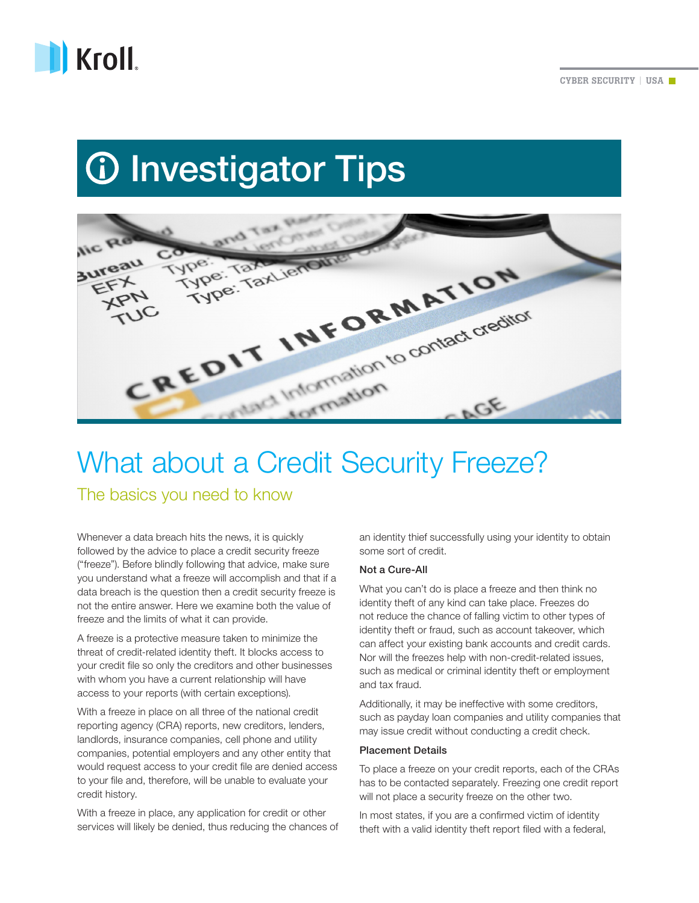

# **10 Investigator Tips**



# What about a Credit Security Freeze?

The basics you need to know

Whenever a data breach hits the news, it is quickly followed by the advice to place a credit security freeze ("freeze"). Before blindly following that advice, make sure you understand what a freeze will accomplish and that if a data breach is the question then a credit security freeze is not the entire answer. Here we examine both the value of freeze and the limits of what it can provide.

A freeze is a protective measure taken to minimize the threat of credit-related identity theft. It blocks access to your credit file so only the creditors and other businesses with whom you have a current relationship will have access to your reports (with certain exceptions).

With a freeze in place on all three of the national credit reporting agency (CRA) reports, new creditors, lenders, landlords, insurance companies, cell phone and utility companies, potential employers and any other entity that would request access to your credit file are denied access to your file and, therefore, will be unable to evaluate your credit history.

With a freeze in place, any application for credit or other services will likely be denied, thus reducing the chances of an identity thief successfully using your identity to obtain some sort of credit.

## Not a Cure-All

What you can't do is place a freeze and then think no identity theft of any kind can take place. Freezes do not reduce the chance of falling victim to other types of identity theft or fraud, such as account takeover, which can affect your existing bank accounts and credit cards. Nor will the freezes help with non-credit-related issues, such as medical or criminal identity theft or employment and tax fraud.

Additionally, it may be ineffective with some creditors, such as payday loan companies and utility companies that may issue credit without conducting a credit check.

## Placement Details

To place a freeze on your credit reports, each of the CRAs has to be contacted separately. Freezing one credit report will not place a security freeze on the other two.

In most states, if you are a confirmed victim of identity theft with a valid identity theft report filed with a federal,